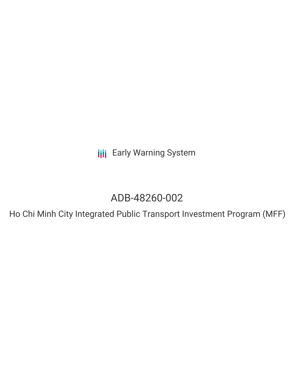**III** Early Warning System

# ADB-48260-002

Ho Chi Minh City Integrated Public Transport Investment Program (MFF)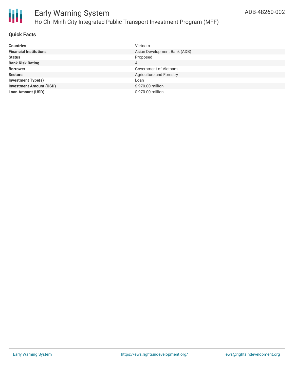

#### **Quick Facts**

| <b>Countries</b>               | Vietnam                      |
|--------------------------------|------------------------------|
| <b>Financial Institutions</b>  | Asian Development Bank (ADB) |
| <b>Status</b>                  | Proposed                     |
| <b>Bank Risk Rating</b>        | A                            |
| <b>Borrower</b>                | Government of Vietnam        |
| <b>Sectors</b>                 | Agriculture and Forestry     |
| <b>Investment Type(s)</b>      | Loan                         |
| <b>Investment Amount (USD)</b> | \$970.00 million             |
| <b>Loan Amount (USD)</b>       | \$970.00 million             |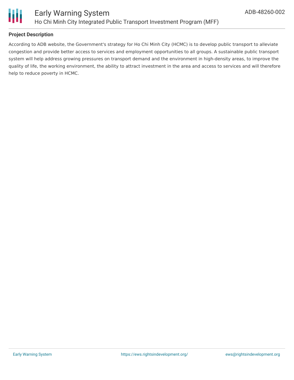

#### **Project Description**

According to ADB website, the Government's strategy for Ho Chi Minh City (HCMC) is to develop public transport to alleviate congestion and provide better access to services and employment opportunities to all groups. A sustainable public transport system will help address growing pressures on transport demand and the environment in high-density areas, to improve the quality of life, the working environment, the ability to attract investment in the area and access to services and will therefore help to reduce poverty in HCMC.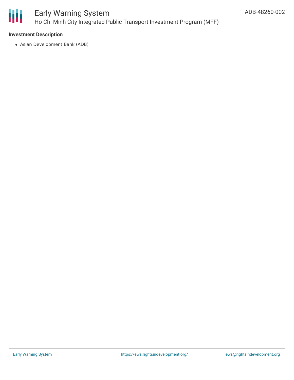

#### **Investment Description**

Asian Development Bank (ADB)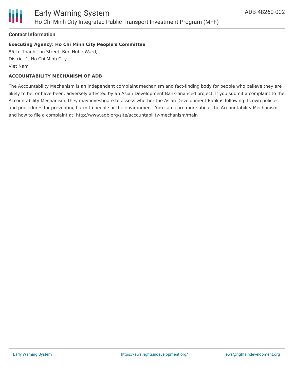

#### **Contact Information**

#### **Executing Agency: Ho Chi Minh City People's Committee**

86 Le Thanh Ton Street, Ben Nghe Ward, District 1, Ho Chi Minh City Viet Nam

#### **ACCOUNTABILITY MECHANISM OF ADB**

The Accountability Mechanism is an independent complaint mechanism and fact-finding body for people who believe they are likely to be, or have been, adversely affected by an Asian Development Bank-financed project. If you submit a complaint to the Accountability Mechanism, they may investigate to assess whether the Asian Development Bank is following its own policies and procedures for preventing harm to people or the environment. You can learn more about the Accountability Mechanism and how to file a complaint at: http://www.adb.org/site/accountability-mechanism/main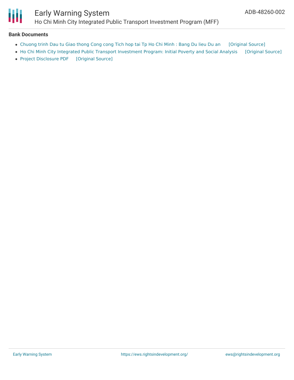

#### **Bank Documents**

- [Chuong](https://ewsdata.rightsindevelopment.org/files/documents/02/ADB-48260-002_y5sK9zl.pdf) trinh Dau tu Giao thong Cong cong Tich hop tai Tp Ho Chi Minh : Bang Du lieu Du an [\[Original](https://www.adb.org/vi/projects/documents/48260-002-project-data-sheet) Source]
- Ho Chi Minh City Integrated Public Transport [Investment](https://ewsdata.rightsindevelopment.org/files/documents/02/ADB-48260-002_V3NfZ8A.pdf) Program: Initial Poverty and Social Analysis [\[Original](https://www.adb.org/projects/documents/hcmc-integrated-public-transport-investment-program-ipsa) Source]
- Project [Disclosure](https://ewsdata.rightsindevelopment.org/files/documents/02/ADB-48260-002.pdf) PDF [\[Original](https://www.adb.org/printpdf/projects/48260-002/main) Source]